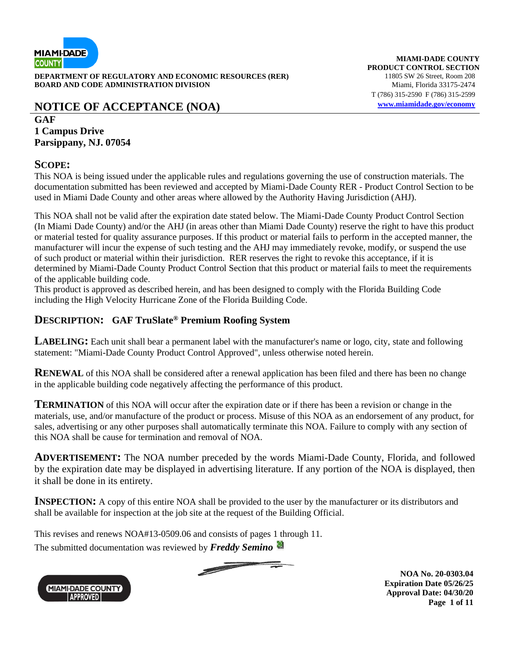

**DEPARTMENT OF REGULATORY AND ECONOMIC RESOURCES (RER)** 11805 SW 26 Street, Room 208 **BOARD AND CODE ADMINISTRATION DIVISION** Miami, Florida 33175-2474

# **NOTICE OF ACCEPTANCE (NOA) [www.miamidade.gov/economy](http://www.miamidade.gov/economy)**

### **GAF 1 Campus Drive Parsippany, NJ. 07054**

### **SCOPE:**

This NOA is being issued under the applicable rules and regulations governing the use of construction materials. The documentation submitted has been reviewed and accepted by Miami-Dade County RER - Product Control Section to be used in Miami Dade County and other areas where allowed by the Authority Having Jurisdiction (AHJ).

This NOA shall not be valid after the expiration date stated below. The Miami-Dade County Product Control Section (In Miami Dade County) and/or the AHJ (in areas other than Miami Dade County) reserve the right to have this product or material tested for quality assurance purposes. If this product or material fails to perform in the accepted manner, the manufacturer will incur the expense of such testing and the AHJ may immediately revoke, modify, or suspend the use of such product or material within their jurisdiction. RER reserves the right to revoke this acceptance, if it is determined by Miami-Dade County Product Control Section that this product or material fails to meet the requirements of the applicable building code.

This product is approved as described herein, and has been designed to comply with the Florida Building Code including the High Velocity Hurricane Zone of the Florida Building Code.

## **DESCRIPTION: GAF TruSlate® Premium Roofing System**

**LABELING:** Each unit shall bear a permanent label with the manufacturer's name or logo, city, state and following statement: "Miami-Dade County Product Control Approved", unless otherwise noted herein.

**RENEWAL** of this NOA shall be considered after a renewal application has been filed and there has been no change in the applicable building code negatively affecting the performance of this product.

**TERMINATION** of this NOA will occur after the expiration date or if there has been a revision or change in the materials, use, and/or manufacture of the product or process. Misuse of this NOA as an endorsement of any product, for sales, advertising or any other purposes shall automatically terminate this NOA. Failure to comply with any section of this NOA shall be cause for termination and removal of NOA.

**ADVERTISEMENT:** The NOA number preceded by the words Miami-Dade County, Florida, and followed by the expiration date may be displayed in advertising literature. If any portion of the NOA is displayed, then it shall be done in its entirety.

**INSPECTION:** A copy of this entire NOA shall be provided to the user by the manufacturer or its distributors and shall be available for inspection at the job site at the request of the Building Official.

 $\overline{\phantom{a}}$ 

This revises and renews NOA#13-0509.06 and consists of pages 1 through 11.

The submitted documentation was reviewed by *Freddy Semino*



**NOA No. 20-0303.04 Expiration Date 05/26/25 Approval Date: 04/30/20 Page 1 of 11**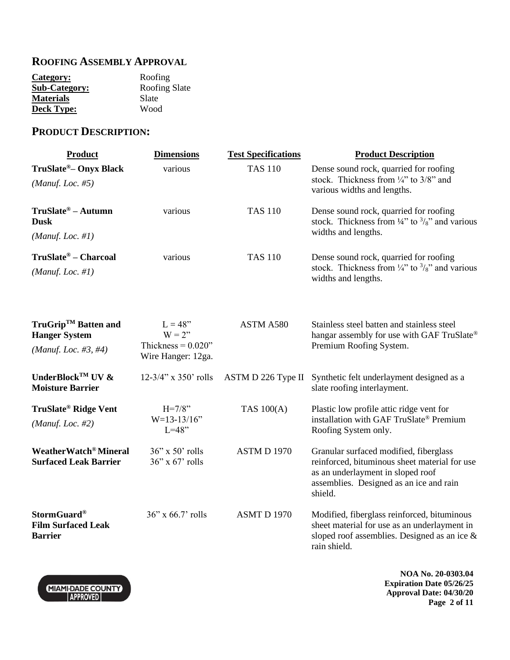## **ROOFING ASSEMBLY APPROVAL**

| Roofing              |
|----------------------|
| <b>Roofing Slate</b> |
| Slate                |
| Wood                 |
|                      |

# **PRODUCT DESCRIPTION:**

| <b>Product</b>                                                                  | <b>Dimensions</b>                                                     | <b>Test Specifications</b> | <b>Product Description</b>                                                                                                                                                         |
|---------------------------------------------------------------------------------|-----------------------------------------------------------------------|----------------------------|------------------------------------------------------------------------------------------------------------------------------------------------------------------------------------|
| TruSlate <sup>®</sup> - Onyx Black<br>(Manuf. Loc. $#5$ )                       | various                                                               | <b>TAS 110</b>             | Dense sound rock, quarried for roofing<br>stock. Thickness from $\frac{1}{4}$ to 3/8" and<br>various widths and lengths.                                                           |
| $TruSlate^{\circledR} - Autumn$<br><b>Dusk</b><br>(Manuf. Loc. #1)              | various                                                               | <b>TAS 110</b>             | Dense sound rock, quarried for roofing<br>stock. Thickness from $\frac{1}{4}$ " to $\frac{3}{8}$ " and various<br>widths and lengths.                                              |
| TruSlate® – Charcoal<br>(Manuf. Loc. $#1$ )                                     | various                                                               | <b>TAS 110</b>             | Dense sound rock, quarried for roofing<br>stock. Thickness from $\frac{1}{4}$ to $\frac{3}{8}$ and various<br>widths and lengths.                                                  |
| TruGrip <sup>™</sup> Batten and<br><b>Hanger System</b><br>(Manuf. Loc. #3, #4) | $L = 48"$<br>$W = 2$ "<br>Thickness = $0.020$ "<br>Wire Hanger: 12ga. | ASTM A580                  | Stainless steel batten and stainless steel<br>hangar assembly for use with GAF TruSlate®<br>Premium Roofing System.                                                                |
| UnderBlock <sup>TM</sup> UV &<br><b>Moisture Barrier</b>                        | $12-3/4$ " x 350' rolls                                               | ASTM D 226 Type II         | Synthetic felt underlayment designed as a<br>slate roofing interlayment.                                                                                                           |
| <b>TruSlate<sup>®</sup> Ridge Vent</b><br>(Manuf. Loc. $#2$ )                   | $H = 7/8$ "<br>$W=13-13/16"$<br>$L=48"$                               | TAS 100(A)                 | Plastic low profile attic ridge vent for<br>installation with GAF TruSlate® Premium<br>Roofing System only.                                                                        |
| WeatherWatch® Mineral<br><b>Surfaced Leak Barrier</b>                           | $36$ " x $50$ " rolls<br>$36$ " x $67$ " rolls                        | <b>ASTM D 1970</b>         | Granular surfaced modified, fiberglass<br>reinforced, bituminous sheet material for use<br>as an underlayment in sloped roof<br>assemblies. Designed as an ice and rain<br>shield. |
| <b>StormGuard®</b><br><b>Film Surfaced Leak</b><br><b>Barrier</b>               | $36$ " x $66.7$ " rolls                                               | <b>ASMT D 1970</b>         | Modified, fiberglass reinforced, bituminous<br>sheet material for use as an underlayment in<br>sloped roof assemblies. Designed as an ice $\&$<br>rain shield.                     |

**NOA No. 20-0303.04 Expiration Date 05/26/25 Approval Date: 04/30/20 Page 2 of 11**

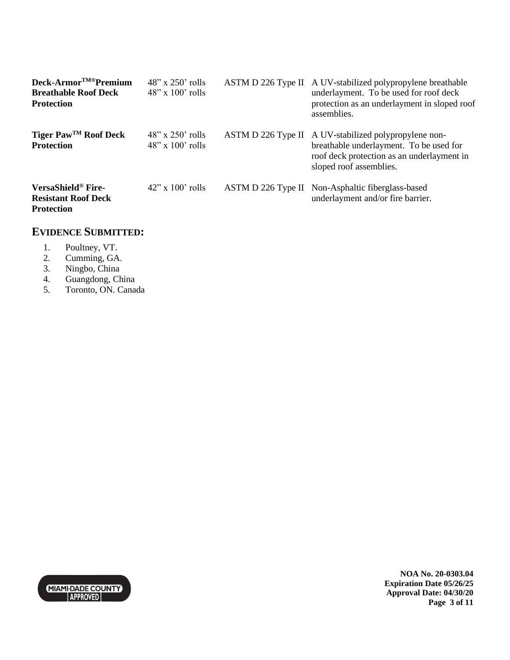| Deck-Armor <sup>TM®</sup> Premium<br><b>Breathable Roof Deck</b><br><b>Protection</b> | $48"$ x 250' rolls<br>$48"$ x $100'$ rolls  | ASTM D 226 Type II A UV-stabilized polypropylene breathable<br>underlayment. To be used for roof deck<br>protection as an underlayment in sloped roof<br>assemblies.      |
|---------------------------------------------------------------------------------------|---------------------------------------------|---------------------------------------------------------------------------------------------------------------------------------------------------------------------------|
| Tiger Paw™ Roof Deck<br><b>Protection</b>                                             | $48''$ x 250' rolls<br>$48"$ x $100'$ rolls | ASTM D 226 Type II A UV-stabilized polypropylene non-<br>breathable underlayment. To be used for<br>roof deck protection as an underlayment in<br>sloped roof assemblies. |
| VersaShield® Fire-<br><b>Resistant Roof Deck</b><br><b>Protection</b>                 | $42$ " x $100$ " rolls                      | ASTM D 226 Type II Non-Asphaltic fiberglass-based<br>underlayment and/or fire barrier.                                                                                    |

## **EVIDENCE SUBMITTED:**

- 1. Poultney, VT.
- 2. Cumming, GA.
- 
- 3. Ningbo, China<br>4. Guangdong, Ch 4. Guangdong, China
- 5. Toronto, ON. Canada



**NOA No. 20-0303.04 Expiration Date 05/26/25 Approval Date: 04/30/20 Page 3 of 11**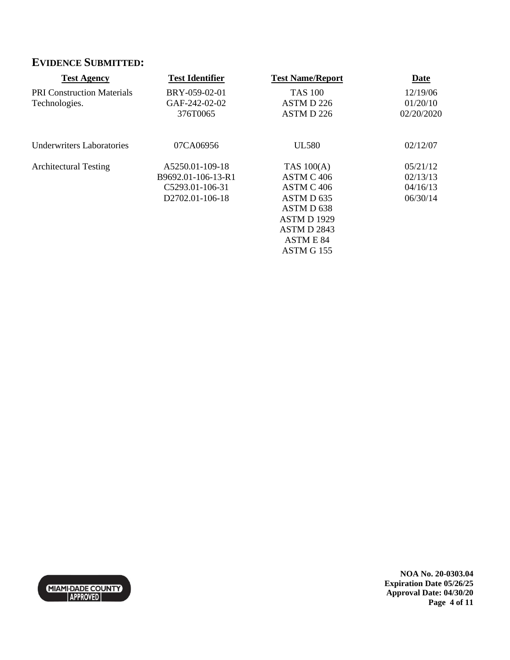# **EVIDENCE SUBMITTED:**

| <b>Test Agency</b>                | <b>Test Identifier</b> | <b>Test Name/Report</b> | Date       |
|-----------------------------------|------------------------|-------------------------|------------|
| <b>PRI Construction Materials</b> | BRY-059-02-01          | <b>TAS 100</b>          | 12/19/06   |
| Technologies.                     | GAF-242-02-02          | ASTM D 226              | 01/20/10   |
|                                   | 376T0065               | ASTM D 226              | 02/20/2020 |
| <b>Underwriters Laboratories</b>  | 07CA06956              | <b>UL580</b>            | 02/12/07   |
| <b>Architectural Testing</b>      | A5250.01-109-18        | TAS $100(A)$            | 05/21/12   |
|                                   | B9692.01-106-13-R1     | ASTM C 406              | 02/13/13   |
|                                   | C5293.01-106-31        | ASTM C 406              | 04/16/13   |
|                                   | D2702.01-106-18        | ASTM D <sub>635</sub>   | 06/30/14   |
|                                   |                        | ASTM D <sub>638</sub>   |            |
|                                   |                        | <b>ASTM D 1929</b>      |            |
|                                   |                        | ASTM D 2843             |            |
|                                   |                        | <b>ASTM E 84</b>        |            |
|                                   |                        | ASTM G 155              |            |



**NOA No. 20-0303.04 Expiration Date 05/26/25 Approval Date: 04/30/20 Page 4 of 11**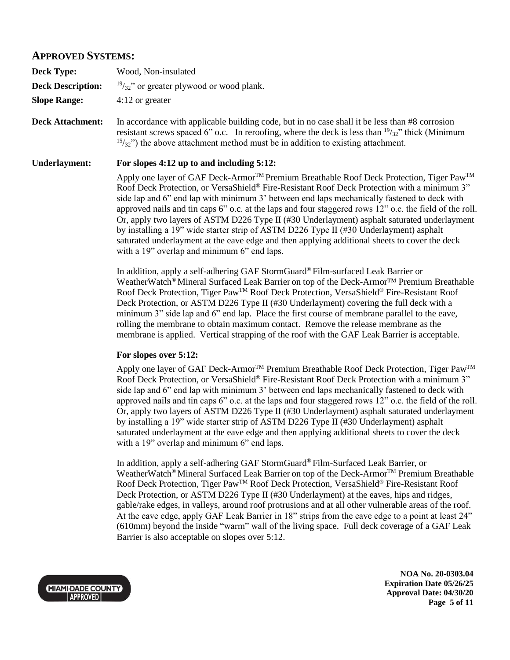### **APPROVED SYSTEMS:**

| <b>Deck Type:</b>        | Wood, Non-insulated                                 |
|--------------------------|-----------------------------------------------------|
| <b>Deck Description:</b> | $\frac{19}{32}$ " or greater plywood or wood plank. |
| <b>Slope Range:</b>      | 4:12 or greater                                     |

**Deck Attachment:** In accordance with applicable building code, but in no case shall it be less than #8 corrosion resistant screws spaced 6" o.c. In reroofing, where the deck is less than  $\frac{19}{32}$ " thick (Minimum  $15/32$ ") the above attachment method must be in addition to existing attachment.

### **Underlayment: For slopes 4:12 up to and including 5:12:**

Apply one layer of GAF Deck-Armor<sup>™</sup> Premium Breathable Roof Deck Protection, Tiger Paw<sup>™</sup> Roof Deck Protection, or VersaShield® Fire-Resistant Roof Deck Protection with a minimum 3" side lap and 6" end lap with minimum 3' between end laps mechanically fastened to deck with approved nails and tin caps 6" o.c. at the laps and four staggered rows 12" o.c. the field of the roll. Or, apply two layers of ASTM D226 Type II (#30 Underlayment) asphalt saturated underlayment by installing a 19" wide starter strip of ASTM D226 Type II (#30 Underlayment) asphalt saturated underlayment at the eave edge and then applying additional sheets to cover the deck with a 19" overlap and minimum 6" end laps.

In addition, apply a self-adhering GAF StormGuard® Film-surfaced Leak Barrier or WeatherWatch® Mineral Surfaced Leak Barrier on top of the Deck-Armor<sup>™</sup> Premium Breathable Roof Deck Protection, Tiger PawTM Roof Deck Protection, VersaShield® Fire-Resistant Roof Deck Protection, or ASTM D226 Type II (#30 Underlayment) covering the full deck with a minimum 3" side lap and 6" end lap. Place the first course of membrane parallel to the eave, rolling the membrane to obtain maximum contact. Remove the release membrane as the membrane is applied. Vertical strapping of the roof with the GAF Leak Barrier is acceptable.

### **For slopes over 5:12:**

Apply one layer of GAF Deck-Armor™ Premium Breathable Roof Deck Protection, Tiger Paw™ Roof Deck Protection, or VersaShield® Fire-Resistant Roof Deck Protection with a minimum 3" side lap and 6" end lap with minimum 3' between end laps mechanically fastened to deck with approved nails and tin caps 6" o.c. at the laps and four staggered rows 12" o.c. the field of the roll. Or, apply two layers of ASTM D226 Type II (#30 Underlayment) asphalt saturated underlayment by installing a 19" wide starter strip of ASTM D226 Type II (#30 Underlayment) asphalt saturated underlayment at the eave edge and then applying additional sheets to cover the deck with a 19" overlap and minimum 6" end laps.

In addition, apply a self-adhering GAF StormGuard® Film-Surfaced Leak Barrier, or WeatherWatch<sup>®</sup> Mineral Surfaced Leak Barrier on top of the Deck-Armor<sup>TM</sup> Premium Breathable Roof Deck Protection, Tiger PawTM Roof Deck Protection, VersaShield® Fire-Resistant Roof Deck Protection, or ASTM D226 Type II (#30 Underlayment) at the eaves, hips and ridges, gable/rake edges, in valleys, around roof protrusions and at all other vulnerable areas of the roof. At the eave edge, apply GAF Leak Barrier in 18" strips from the eave edge to a point at least 24" (610mm) beyond the inside "warm" wall of the living space. Full deck coverage of a GAF Leak Barrier is also acceptable on slopes over 5:12.



**NOA No. 20-0303.04 Expiration Date 05/26/25 Approval Date: 04/30/20 Page 5 of 11**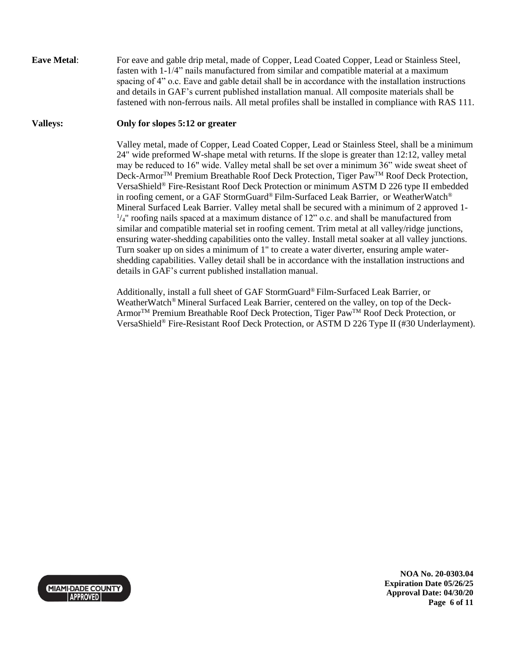**Eave Metal:** For eave and gable drip metal, made of Copper, Lead Coated Copper, Lead or Stainless Steel, fasten with 1-1/4" nails manufactured from similar and compatible material at a maximum spacing of 4" o.c. Eave and gable detail shall be in accordance with the installation instructions and details in GAF's current published installation manual. All composite materials shall be fastened with non-ferrous nails. All metal profiles shall be installed in compliance with RAS 111.

### **Valleys: Only for slopes 5:12 or greater**

Valley metal, made of Copper, Lead Coated Copper, Lead or Stainless Steel, shall be a minimum 24" wide preformed W-shape metal with returns. If the slope is greater than 12:12, valley metal may be reduced to 16" wide. Valley metal shall be set over a minimum 36" wide sweat sheet of Deck-Armor<sup>™</sup> Premium Breathable Roof Deck Protection, Tiger Paw<sup>™</sup> Roof Deck Protection, VersaShield® Fire-Resistant Roof Deck Protection or minimum ASTM D 226 type II embedded in roofing cement, or a GAF StormGuard® Film-Surfaced Leak Barrier, or WeatherWatch® Mineral Surfaced Leak Barrier. Valley metal shall be secured with a minimum of 2 approved 1-  $\frac{1}{4}$ " roofing nails spaced at a maximum distance of 12" o.c. and shall be manufactured from similar and compatible material set in roofing cement. Trim metal at all valley/ridge junctions, ensuring water-shedding capabilities onto the valley. Install metal soaker at all valley junctions. Turn soaker up on sides a minimum of 1" to create a water diverter, ensuring ample watershedding capabilities. Valley detail shall be in accordance with the installation instructions and details in GAF's current published installation manual.

Additionally, install a full sheet of GAF StormGuard® Film-Surfaced Leak Barrier, or WeatherWatch® Mineral Surfaced Leak Barrier, centered on the valley, on top of the Deck-Armor<sup>™</sup> Premium Breathable Roof Deck Protection, Tiger Paw<sup>™</sup> Roof Deck Protection, or VersaShield® Fire-Resistant Roof Deck Protection, or ASTM D 226 Type II (#30 Underlayment).



**NOA No. 20-0303.04 Expiration Date 05/26/25 Approval Date: 04/30/20 Page 6 of 11**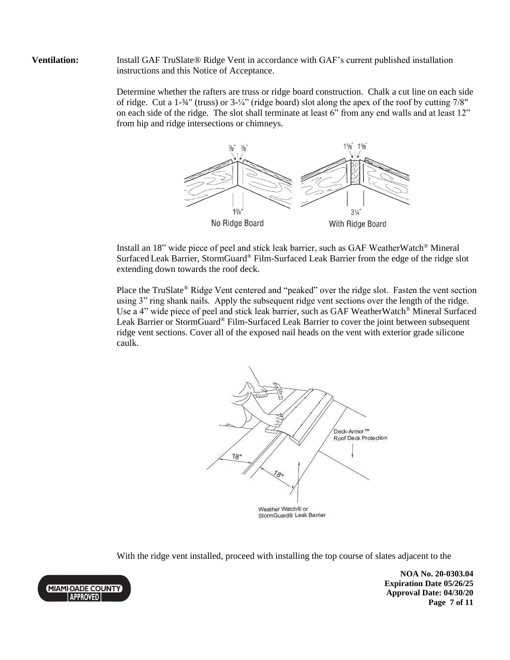**Ventilation:** Install GAF TruSlate<sup>®</sup> Ridge Vent in accordance with GAF's current published installation instructions and this Notice of Acceptance.

> Determine whether the rafters are truss or ridge board construction. Chalk a cut line on each side of ridge. Cut a 1-¾" (truss) or 3-¼" (ridge board) slot along the apex of the roof by cutting 7/8" on each side of the ridge. The slot shall terminate at least 6" from any end walls and at least 12" from hip and ridge intersections or chimneys.



Install an 18" wide piece of peel and stick leak barrier, such as GAF WeatherWatch® Mineral Surfaced Leak Barrier, StormGuard® Film-Surfaced Leak Barrier from the edge of the ridge slot extending down towards the roof deck.

Place the TruSlate® Ridge Vent centered and "peaked" over the ridge slot. Fasten the vent section using 3" ring shank nails. Apply the subsequent ridge vent sections over the length of the ridge. Use a 4" wide piece of peel and stick leak barrier, such as GAF WeatherWatch® Mineral Surfaced Leak Barrier or StormGuard® Film-Surfaced Leak Barrier to cover the joint between subsequent ridge vent sections. Cover all of the exposed nail heads on the vent with exterior grade silicone caulk.



With the ridge vent installed, proceed with installing the top course of slates adjacent to the

**NOA No. 20-0303.04 Expiration Date 05/26/25 Approval Date: 04/30/20 Page 7 of 11**

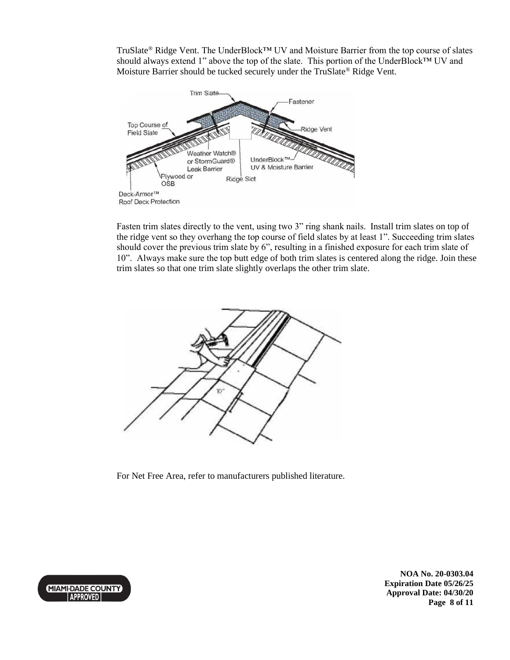TruSlate® Ridge Vent. The UnderBlock™ UV and Moisture Barrier from the top course of slates should always extend 1" above the top of the slate. This portion of the UnderBlock™ UV and Moisture Barrier should be tucked securely under the TruSlate® Ridge Vent.



Fasten trim slates directly to the vent, using two 3" ring shank nails. Install trim slates on top of the ridge vent so they overhang the top course of field slates by at least 1". Succeeding trim slates should cover the previous trim slate by 6", resulting in a finished exposure for each trim slate of 10". Always make sure the top butt edge of both trim slates is centered along the ridge. Join these trim slates so that one trim slate slightly overlaps the other trim slate.



For Net Free Area, refer to manufacturers published literature.



**NOA No. 20-0303.04 Expiration Date 05/26/25 Approval Date: 04/30/20 Page 8 of 11**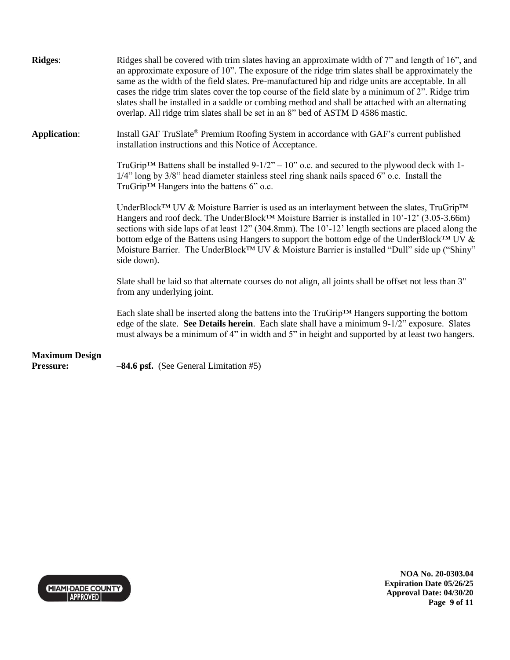| <b>Ridges:</b>                            | Ridges shall be covered with trim slates having an approximate width of 7" and length of 16", and<br>an approximate exposure of 10". The exposure of the ridge trim slates shall be approximately the<br>same as the width of the field slates. Pre-manufactured hip and ridge units are acceptable. In all<br>cases the ridge trim slates cover the top course of the field slate by a minimum of 2". Ridge trim<br>slates shall be installed in a saddle or combing method and shall be attached with an alternating<br>overlap. All ridge trim slates shall be set in an 8" bed of ASTM D 4586 mastic. |
|-------------------------------------------|-----------------------------------------------------------------------------------------------------------------------------------------------------------------------------------------------------------------------------------------------------------------------------------------------------------------------------------------------------------------------------------------------------------------------------------------------------------------------------------------------------------------------------------------------------------------------------------------------------------|
| <b>Application:</b>                       | Install GAF TruSlate® Premium Roofing System in accordance with GAF's current published<br>installation instructions and this Notice of Acceptance.                                                                                                                                                                                                                                                                                                                                                                                                                                                       |
|                                           | TruGrip <sup>TM</sup> Battens shall be installed $9-1/2" - 10"$ o.c. and secured to the plywood deck with 1-<br>1/4" long by 3/8" head diameter stainless steel ring shank nails spaced 6" o.c. Install the<br>TruGrip™ Hangers into the battens 6" o.c.                                                                                                                                                                                                                                                                                                                                                  |
|                                           | UnderBlock <sup>TM</sup> UV & Moisture Barrier is used as an interlayment between the slates, TruGrip <sup>TM</sup><br>Hangers and roof deck. The UnderBlock™ Moisture Barrier is installed in 10'-12' (3.05-3.66m)<br>sections with side laps of at least $12$ " (304.8mm). The $10'$ -12' length sections are placed along the<br>bottom edge of the Battens using Hangers to support the bottom edge of the UnderBlock™ UV &<br>Moisture Barrier. The UnderBlock™ UV & Moisture Barrier is installed "Dull" side up ("Shiny"<br>side down).                                                            |
|                                           | Slate shall be laid so that alternate courses do not align, all joints shall be offset not less than 3"<br>from any underlying joint.                                                                                                                                                                                                                                                                                                                                                                                                                                                                     |
|                                           | Each slate shall be inserted along the battens into the $TruGrip^{TM}$ Hangers supporting the bottom<br>edge of the slate. See Details herein. Each slate shall have a minimum $9-1/2$ " exposure. Slates<br>must always be a minimum of 4" in width and 5" in height and supported by at least two hangers.                                                                                                                                                                                                                                                                                              |
| <b>Maximum Design</b><br><b>Pressure:</b> | $-84.6$ psf. (See General Limitation #5)                                                                                                                                                                                                                                                                                                                                                                                                                                                                                                                                                                  |



**NOA No. 20-0303.04 Expiration Date 05/26/25 Approval Date: 04/30/20 Page 9 of 11**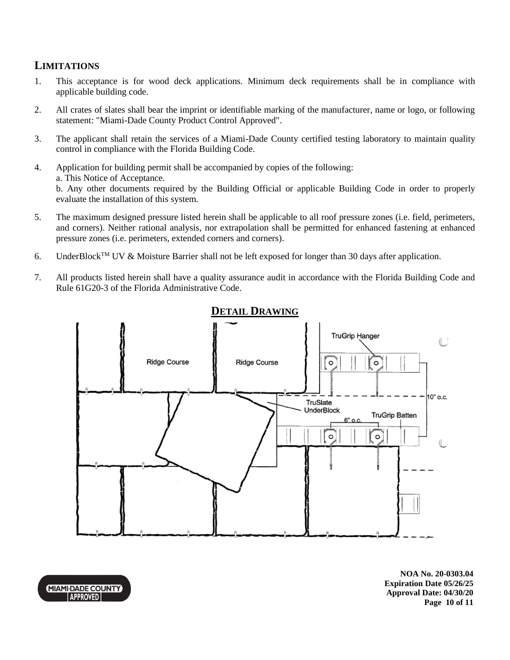## **LIMITATIONS**

- 1. This acceptance is for wood deck applications. Minimum deck requirements shall be in compliance with applicable building code.
- 2. All crates of slates shall bear the imprint or identifiable marking of the manufacturer, name or logo, or following statement: "Miami-Dade County Product Control Approved".
- 3. The applicant shall retain the services of a Miami-Dade County certified testing laboratory to maintain quality control in compliance with the Florida Building Code.
- 4. Application for building permit shall be accompanied by copies of the following: a. This Notice of Acceptance. b. Any other documents required by the Building Official or applicable Building Code in order to properly evaluate the installation of this system.
- 5. The maximum designed pressure listed herein shall be applicable to all roof pressure zones (i.e. field, perimeters, and corners). Neither rational analysis, nor extrapolation shall be permitted for enhanced fastening at enhanced pressure zones (i.e. perimeters, extended corners and corners).
- 6. UnderBlock<sup>TM</sup> UV & Moisture Barrier shall not be left exposed for longer than 30 days after application.
- 7. All products listed herein shall have a quality assurance audit in accordance with the Florida Building Code and Rule 61G20-3 of the Florida Administrative Code.



## **DETAIL DRAWING**

**NOA No. 20-0303.04 Expiration Date 05/26/25 Approval Date: 04/30/20 Page 10 of 11**